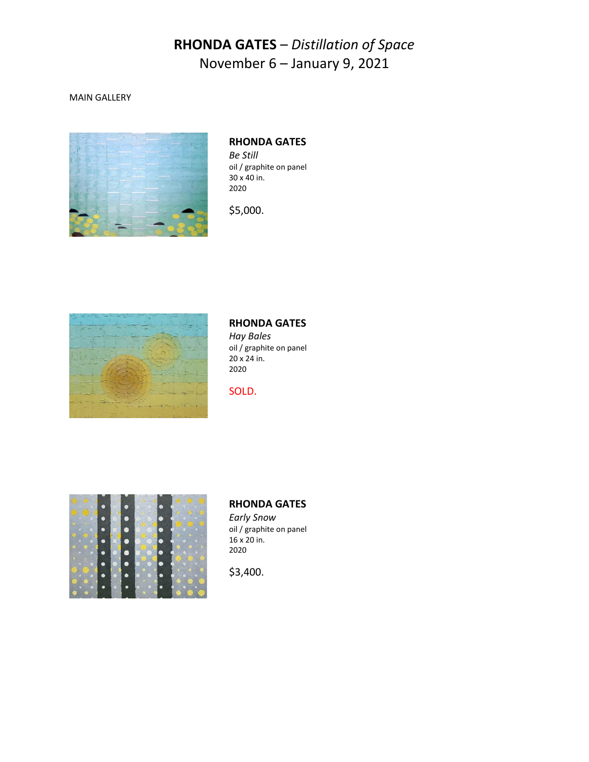#### MAIN GALLERY



### **RHONDA GATES**

*Be Still* oil / graphite on panel 30 x 40 in. 2020

\$5,000.



# **RHONDA GATES**

*Hay Bales* oil / graphite on panel 20 x 24 in. 2020

SOLD.



#### **RHONDA GATES**

*Early Snow* oil / graphite on panel 16 x 20 in. 2020

\$3,400.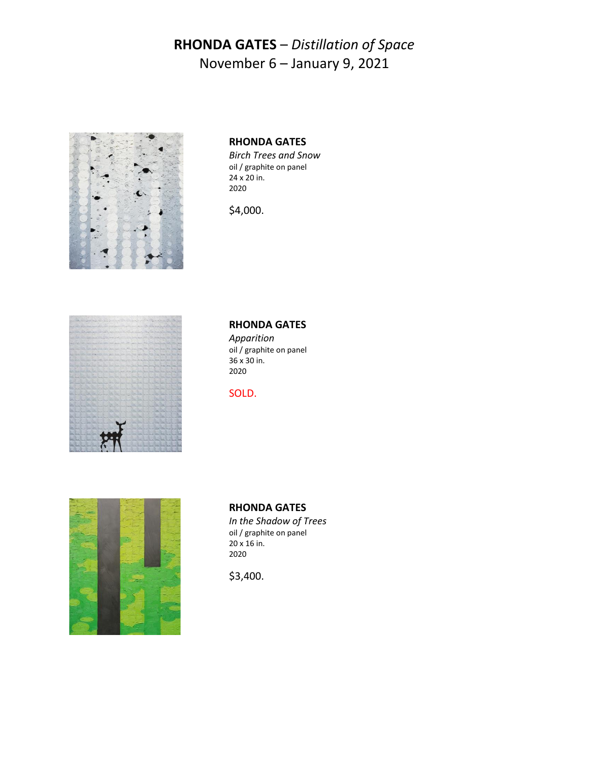

### **RHONDA GATES**

*Birch Trees and Snow* oil / graphite on panel 24 x 20 in. 2020

\$4,000.



#### **RHONDA GATES**

*Apparition* oil / graphite on panel 36 x 30 in. 2020

SOLD.



### **RHONDA GATES**

*In the Shadow of Trees* oil / graphite on panel 20 x 16 in. 2020

\$3,400.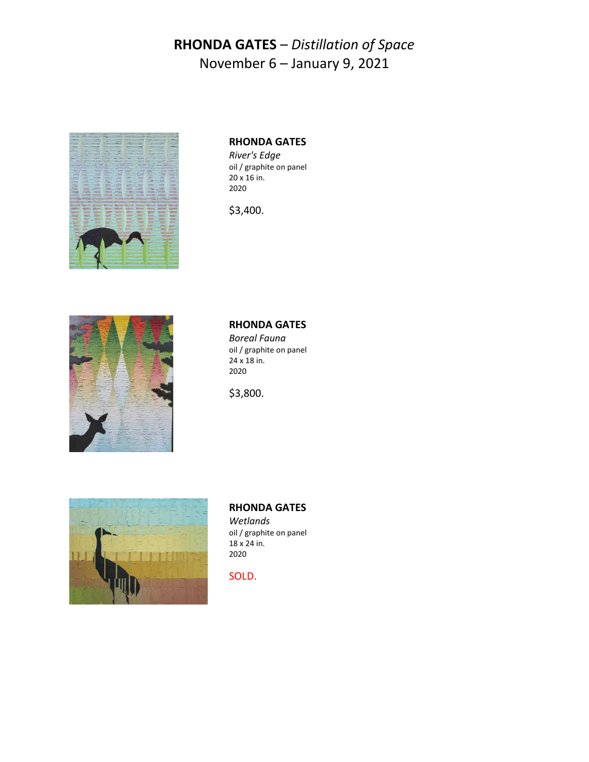

### **RHONDA GATES**

*River's Edge* oil / graphite on panel 20 x 16 in. 2020

\$3,400.



## **RHONDA GATES**

*Boreal Fauna* oil / graphite on panel 24 x 18 in. 2020

\$3,800.



### **RHONDA GATES**

*Wetlands* oil / graphite on panel 18 x 24 in. 2020

SOLD.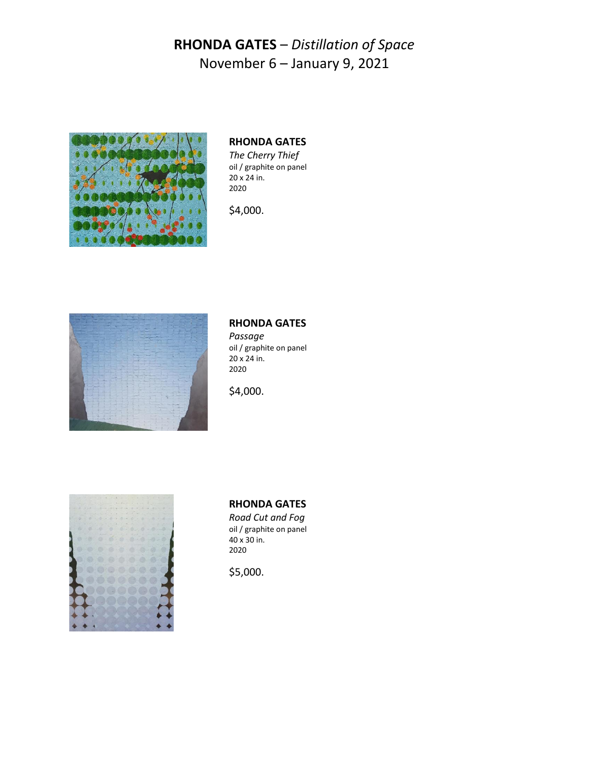

### **RHONDA GATES**

*The Cherry Thief* oil / graphite on panel 20 x 24 in. 2020

\$4,000.



### **RHONDA GATES**

*Passage* oil / graphite on panel 20 x 24 in. 2020

\$4,000.



### **RHONDA GATES**

*Road Cut and Fog* oil / graphite on panel 40 x 30 in. 2020

\$5,000.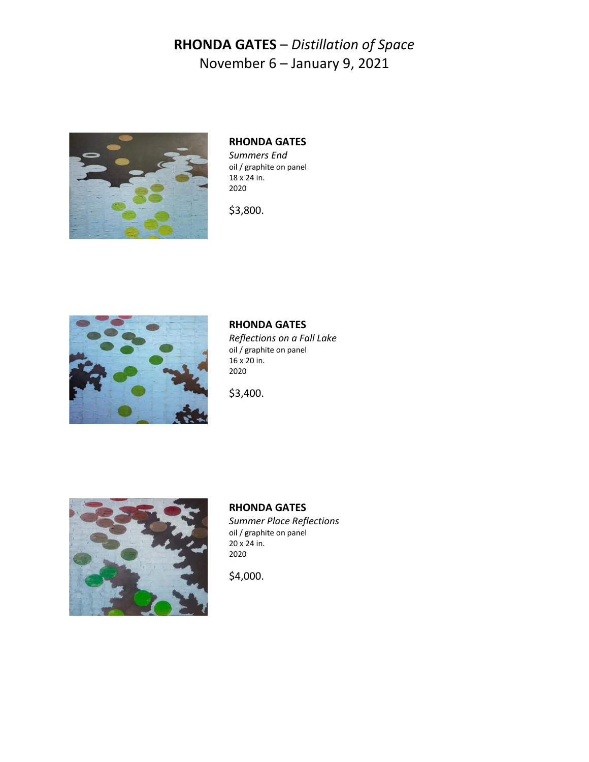

## **RHONDA GATES**

*Summers End* oil / graphite on panel  $18 \times 24$  in. 2020

\$3,800.



### **RHONDA GATES**

*Reflections on a Fall Lake* oil / graphite on panel 16 x 20 in. 2020

\$3,400.



**RHONDA GATES** *Summer Place Reflections* oil / graphite on panel 20 x 24 in. 2020

\$4,000.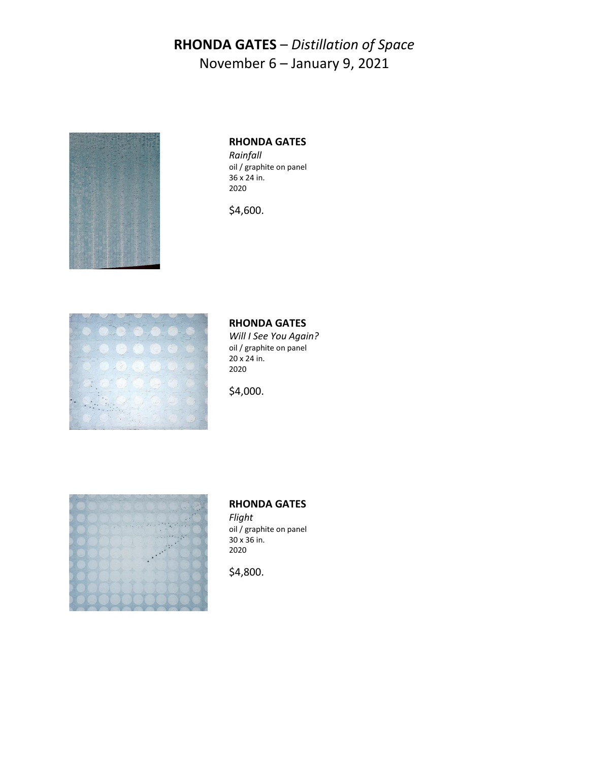

#### **RHONDA GATES**

*Rainfall* oil / graphite on panel 36 x 24 in. 2020

\$4,600.



### **RHONDA GATES**

*Will I See You Again?* oil / graphite on panel 20 x 24 in. 2020

\$4,000.



#### **RHONDA GATES**

*Flight* oil / graphite on panel 30 x 36 in. 2020

\$4,800.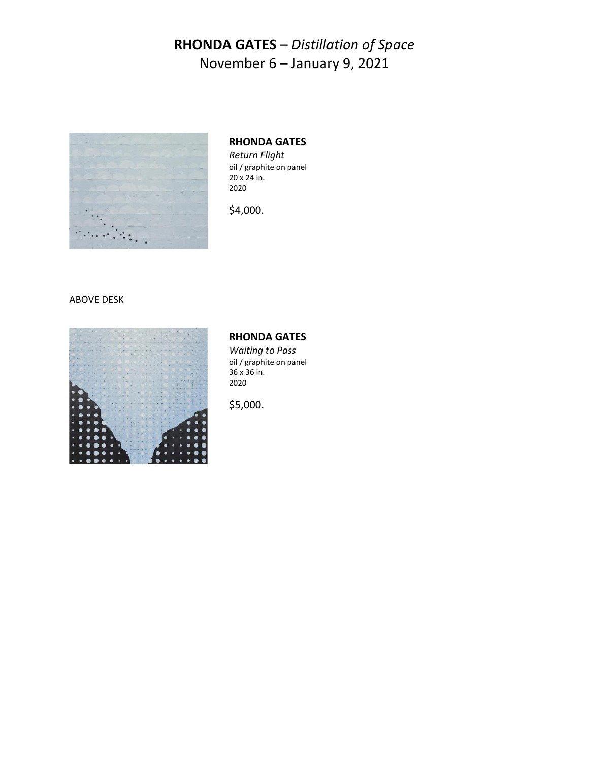

### **RHONDA GATES**

*Return Flight* oil / graphite on panel 20 x 24 in. 2020

\$4,000.

#### ABOVE DESK



### **RHONDA GATES**

*Waiting to Pass* oil / graphite on panel 36 x 36 in. 2020

\$5,000.